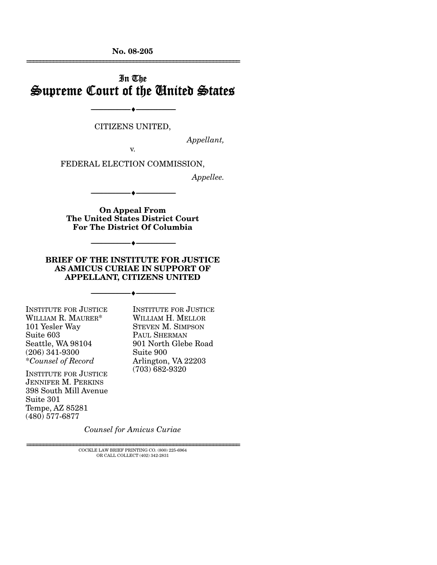**No. 08-205**  ================================================================

## In The Supreme Court of the United States

CITIZENS UNITED,

--------------------------------- ♦ ---------------------------------

*Appellant,* 

v.

FEDERAL ELECTION COMMISSION,

*Appellee.* 

**On Appeal From The United States District Court For The District Of Columbia** 

--------------------------------- ♦ ---------------------------------

**BRIEF OF THE INSTITUTE FOR JUSTICE AS AMICUS CURIAE IN SUPPORT OF APPELLANT, CITIZENS UNITED** 

--------------------------------- ♦ ---------------------------------

--------------------------------- ♦ ---------------------------------

INSTITUTE FOR JUSTICE WILLIAM R. MAURER\* 101 Yesler Way Suite 603 Seattle, WA 98104 (206) 341-9300 \**Counsel of Record*

INSTITUTE FOR JUSTICE JENNIFER M. PERKINS 398 South Mill Avenue Suite 301 Tempe, AZ 85281 (480) 577-6877

INSTITUTE FOR JUSTICE WILLIAM H. MELLOR STEVEN M. SIMPSON PAUL SHERMAN 901 North Glebe Road Suite 900 Arlington, VA 22203 (703) 682-9320

*Counsel for Amicus Curiae* 

 ${\rm COCKLE}$  LAW BRIEF PRINTING CO. (800) 225-6964 OR CALL COLLECT (402) 342-2831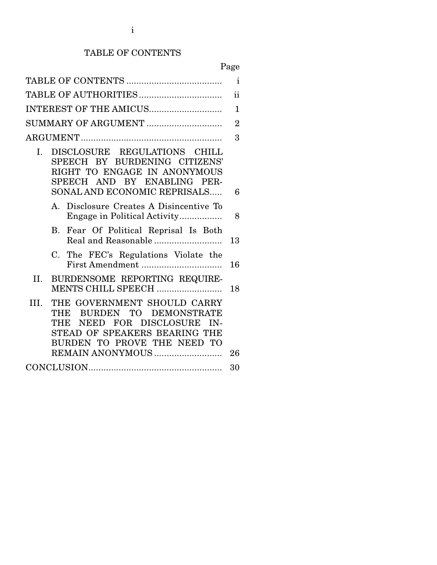# TABLE OF CONTENTS

# Page

| $\mathbf{i}$                                                                                                                                                         |              |  |  |
|----------------------------------------------------------------------------------------------------------------------------------------------------------------------|--------------|--|--|
| $\mathbf{ii}$                                                                                                                                                        |              |  |  |
| INTEREST OF THE AMICUS                                                                                                                                               | $\mathbf{1}$ |  |  |
| SUMMARY OF ARGUMENT<br>$\overline{2}$                                                                                                                                |              |  |  |
|                                                                                                                                                                      | 3            |  |  |
| DISCLOSURE REGULATIONS CHILL<br>I.<br>SPEECH BY BURDENING CITIZENS'<br>RIGHT TO ENGAGE IN ANONYMOUS<br>SPEECH AND BY ENABLING PER-<br>SONAL AND ECONOMIC REPRISALS   | 6            |  |  |
|                                                                                                                                                                      |              |  |  |
| Disclosure Creates A Disincentive To<br>$\mathbf{A}$<br>Engage in Political Activity                                                                                 | 8            |  |  |
| Fear Of Political Reprisal Is Both<br><b>B.</b><br>Real and Reasonable                                                                                               | 13           |  |  |
| The FEC's Regulations Violate the<br>$C_{\cdot}$                                                                                                                     | 16           |  |  |
| BURDENSOME REPORTING REQUIRE-<br>II.<br>MENTS CHILL SPEECH                                                                                                           | 18           |  |  |
| THE GOVERNMENT SHOULD CARRY<br>HI.<br>THE BURDEN TO DEMONSTRATE<br>NEED FOR DISCLOSURE<br>THE<br>IN-<br>STEAD OF SPEAKERS BEARING THE<br>BURDEN TO PROVE THE NEED TO | 26           |  |  |
|                                                                                                                                                                      | 30           |  |  |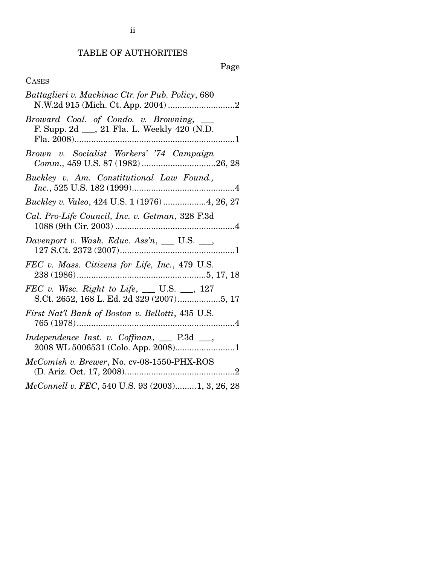## TABLE OF AUTHORITIES

Page

## CASES

| Battaglieri v. Mackinac Ctr. for Pub. Policy, 680                                                |
|--------------------------------------------------------------------------------------------------|
| Broward Coal. of Condo. v. Browning, ___<br>F. Supp. 2d __, 21 Fla. L. Weekly 420 (N.D.          |
| Brown v. Socialist Workers' '74 Campaign<br>Comm., 459 U.S. 87 (1982)26, 28                      |
| Buckley v. Am. Constitutional Law Found.,                                                        |
| Buckley v. Valeo, 424 U.S. 1 (1976)4, 26, 27                                                     |
| Cal. Pro-Life Council, Inc. v. Getman, 328 F.3d                                                  |
| Davenport v. Wash. Educ. Ass'n, __ U.S. __,                                                      |
| FEC v. Mass. Citizens for Life, Inc., 479 U.S.                                                   |
| <i>FEC</i> v. Wisc. Right to Life, ___ U.S. __, 127<br>S.Ct. 2652, 168 L. Ed. 2d 329 (2007)5, 17 |
| First Nat'l Bank of Boston v. Bellotti, 435 U.S.                                                 |
| Independence Inst. v. Coffman, __ P.3d __,                                                       |
| McComish v. Brewer, No. cv-08-1550-PHX-ROS                                                       |
| McConnell v. FEC, 540 U.S. 93 (2003)1, 3, 26, 28                                                 |

ii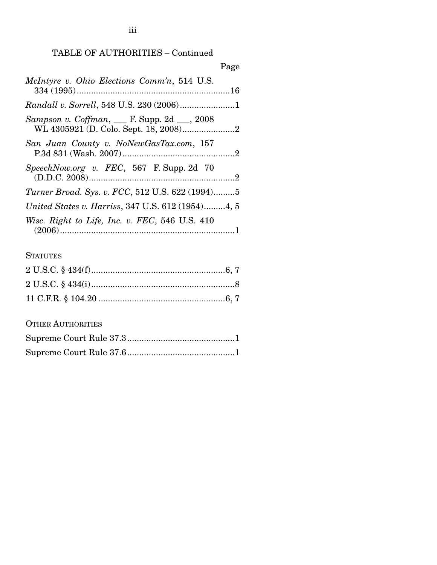## TABLE OF AUTHORITIES – Continued

|                                                   | Page |
|---------------------------------------------------|------|
| McIntyre v. Ohio Elections Comm'n, 514 U.S.       |      |
| Randall v. Sorrell, 548 U.S. 230 (2006)1          |      |
| Sampson v. Coffman, ___ F. Supp. 2d ___, 2008     |      |
| San Juan County v. NoNewGasTax.com, 157           |      |
| $SpeechNow.org$ v. $FEC$ , 567 F. Supp. 2d 70     |      |
| Turner Broad. Sys. v. FCC, 512 U.S. 622 (1994)5   |      |
| United States v. Harriss, 347 U.S. 612 (1954)4, 5 |      |
| Wisc. Right to Life, Inc. v. FEC, 546 U.S. 410    |      |

## **STATUTES**

## OTHER AUTHORITIES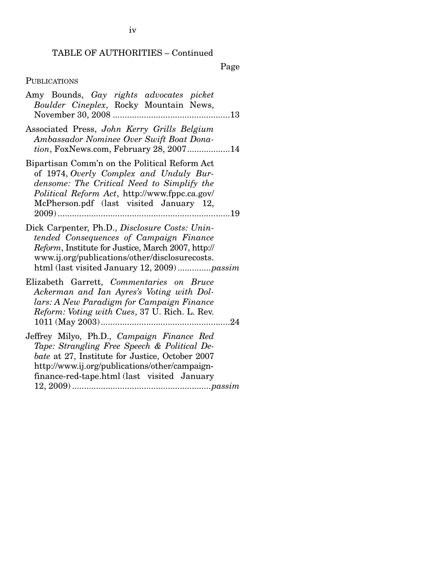#### TABLE OF AUTHORITIES – Continued

Page

#### **PUBLICATIONS**

|  |  | Amy Bounds, Gay rights advocates picket |  |
|--|--|-----------------------------------------|--|
|  |  | Boulder Cineplex, Rocky Mountain News,  |  |
|  |  |                                         |  |

Associated Press, *John Kerry Grills Belgium Ambassador Nominee Over Swift Boat Donation*, FoxNews.com, February 28, 2007..................14

Bipartisan Comm'n on the Political Reform Act of 1974, *Overly Complex and Unduly Burdensome: The Critical Need to Simplify the Political Reform Act*, http://www.fppc.ca.gov/ McPherson.pdf (last visited January 12, 2009) ........................................................................19

Dick Carpenter, Ph.D., *Disclosure Costs: Unintended Consequences of Campaign Finance Reform*, Institute for Justice, March 2007, http:// www.ij.org/publications/other/disclosurecosts. html (last visited January 12, 2009) ..............*passim*

Elizabeth Garrett, *Commentaries on Bruce Ackerman and Ian Ayres's Voting with Dollars: A New Paradigm for Campaign Finance Reform: Voting with Cues*, 37 U. Rich. L. Rev. 1011 (May 2003)......................................................24

Jeffrey Milyo, Ph.D., *Campaign Finance Red Tape: Strangling Free Speech & Political Debate* at 27, Institute for Justice, October 2007 http://www.ij.org/publications/other/campaignfinance-red-tape.html (last visited January 12, 2009) ..........................................................*passim*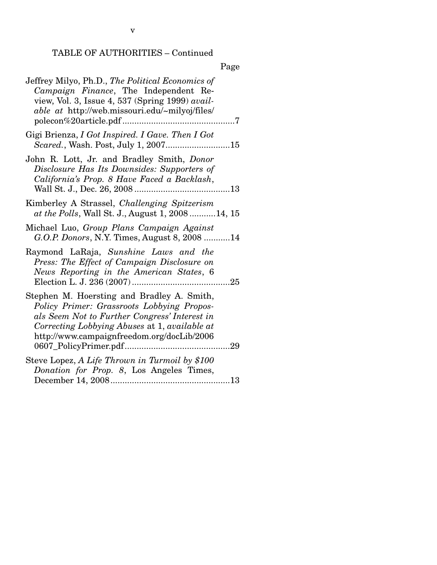## TABLE OF AUTHORITIES – Continued

|--|

| Jeffrey Milyo, Ph.D., The Political Economics of<br>Campaign Finance, The Independent Re-<br>view, Vol. 3, Issue 4, 537 (Spring 1999) avail-<br>able at http://web.missouri.edu/~milyoj/files/                                           |  |
|------------------------------------------------------------------------------------------------------------------------------------------------------------------------------------------------------------------------------------------|--|
| Gigi Brienza, I Got Inspired. I Gave. Then I Got                                                                                                                                                                                         |  |
| John R. Lott, Jr. and Bradley Smith, Donor<br>Disclosure Has Its Downsides: Supporters of<br>California's Prop. 8 Have Faced a Backlash,                                                                                                 |  |
| Kimberley A Strassel, Challenging Spitzerism<br>at the Polls, Wall St. J., August 1, 200814, 15                                                                                                                                          |  |
| Michael Luo, Group Plans Campaign Against<br>G.O.P. Donors, N.Y. Times, August 8, 2008  14                                                                                                                                               |  |
| Raymond LaRaja, Sunshine Laws and the<br>Press: The Effect of Campaign Disclosure on<br>News Reporting in the American States, 6                                                                                                         |  |
| Stephen M. Hoersting and Bradley A. Smith,<br>Policy Primer: Grassroots Lobbying Propos-<br>als Seem Not to Further Congress' Interest in<br>Correcting Lobbying Abuses at 1, available at<br>http://www.campaignfreedom.org/docLib/2006 |  |
| Steve Lopez, A Life Thrown in Turmoil by \$100                                                                                                                                                                                           |  |
| Donation for Prop. 8, Los Angeles Times,                                                                                                                                                                                                 |  |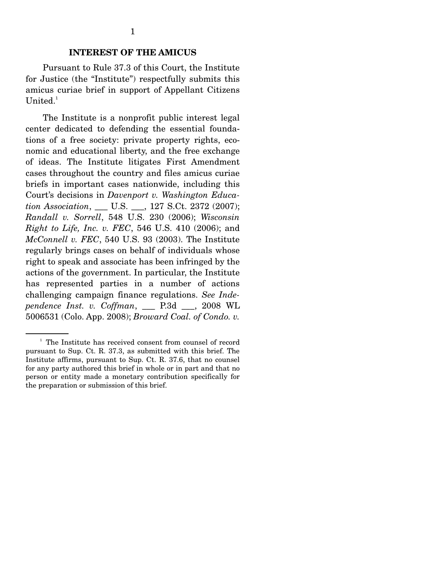### **INTEREST OF THE AMICUS**

 Pursuant to Rule 37.3 of this Court, the Institute for Justice (the "Institute") respectfully submits this amicus curiae brief in support of Appellant Citizens United. $1$ 

 The Institute is a nonprofit public interest legal center dedicated to defending the essential foundations of a free society: private property rights, economic and educational liberty, and the free exchange of ideas. The Institute litigates First Amendment cases throughout the country and files amicus curiae briefs in important cases nationwide, including this Court's decisions in *Davenport v. Washington Education Association*, \_\_\_ U.S. \_\_\_, 127 S.Ct. 2372 (2007); *Randall v. Sorrell*, 548 U.S. 230 (2006); *Wisconsin Right to Life, Inc. v. FEC*, 546 U.S. 410 (2006); and *McConnell v. FEC*, 540 U.S. 93 (2003). The Institute regularly brings cases on behalf of individuals whose right to speak and associate has been infringed by the actions of the government. In particular, the Institute has represented parties in a number of actions challenging campaign finance regulations. *See Independence Inst. v. Coffman*, \_\_\_ P.3d \_\_\_, 2008 WL 5006531 (Colo. App. 2008); *Broward Coal. of Condo. v.* 

<sup>&</sup>lt;sup>1</sup> The Institute has received consent from counsel of record pursuant to Sup. Ct. R. 37.3, as submitted with this brief. The Institute affirms, pursuant to Sup. Ct. R. 37.6, that no counsel for any party authored this brief in whole or in part and that no person or entity made a monetary contribution specifically for the preparation or submission of this brief.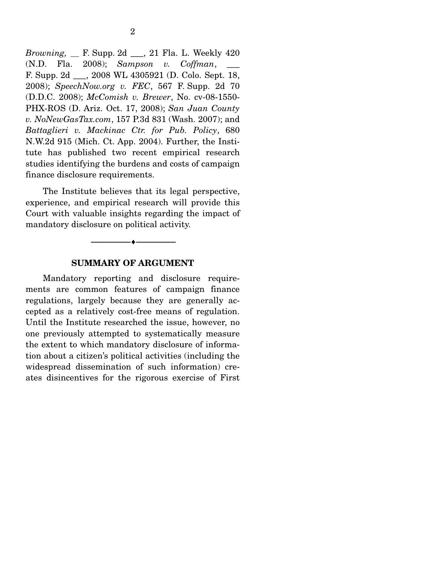*Browning, \_\_* F. Supp. 2d \_\_\_, 21 Fla. L. Weekly 420 (N.D. Fla. 2008); *Sampson v. Coffman*, \_\_\_ F. Supp. 2d \_\_\_, 2008 WL 4305921 (D. Colo. Sept. 18, 2008); *SpeechNow.org v. FEC*, 567 F. Supp. 2d 70 (D.D.C. 2008); *McComish v. Brewer*, No. cv-08-1550- PHX-ROS (D. Ariz. Oct. 17, 2008); *San Juan County v. NoNewGasTax.com*, 157 P.3d 831 (Wash. 2007); and *Battaglieri v. Mackinac Ctr. for Pub. Policy*, 680 N.W.2d 915 (Mich. Ct. App. 2004). Further, the Institute has published two recent empirical research studies identifying the burdens and costs of campaign finance disclosure requirements.

 The Institute believes that its legal perspective, experience, and empirical research will provide this Court with valuable insights regarding the impact of mandatory disclosure on political activity.

#### --------------------------------- ♦ ---------------------------------

#### **SUMMARY OF ARGUMENT**

 Mandatory reporting and disclosure requirements are common features of campaign finance regulations, largely because they are generally accepted as a relatively cost-free means of regulation. Until the Institute researched the issue, however, no one previously attempted to systematically measure the extent to which mandatory disclosure of information about a citizen's political activities (including the widespread dissemination of such information) creates disincentives for the rigorous exercise of First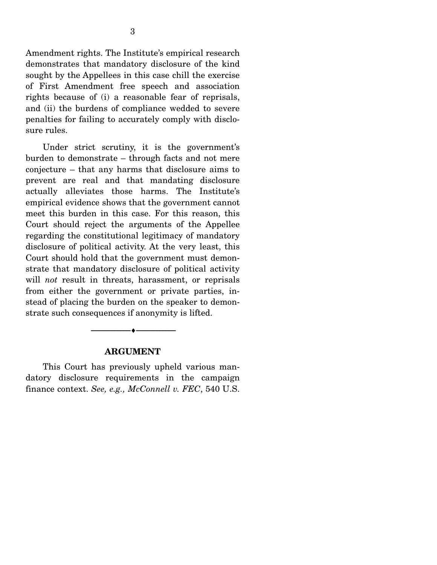Amendment rights. The Institute's empirical research demonstrates that mandatory disclosure of the kind sought by the Appellees in this case chill the exercise of First Amendment free speech and association rights because of (i) a reasonable fear of reprisals, and (ii) the burdens of compliance wedded to severe penalties for failing to accurately comply with disclosure rules.

 Under strict scrutiny, it is the government's burden to demonstrate – through facts and not mere conjecture – that any harms that disclosure aims to prevent are real and that mandating disclosure actually alleviates those harms. The Institute's empirical evidence shows that the government cannot meet this burden in this case. For this reason, this Court should reject the arguments of the Appellee regarding the constitutional legitimacy of mandatory disclosure of political activity. At the very least, this Court should hold that the government must demonstrate that mandatory disclosure of political activity will *not* result in threats, harassment, or reprisals from either the government or private parties, instead of placing the burden on the speaker to demonstrate such consequences if anonymity is lifted.

#### **ARGUMENT**

--------------------------------- ♦ ---------------------------------

 This Court has previously upheld various mandatory disclosure requirements in the campaign finance context. *See, e.g., McConnell v. FEC*, 540 U.S.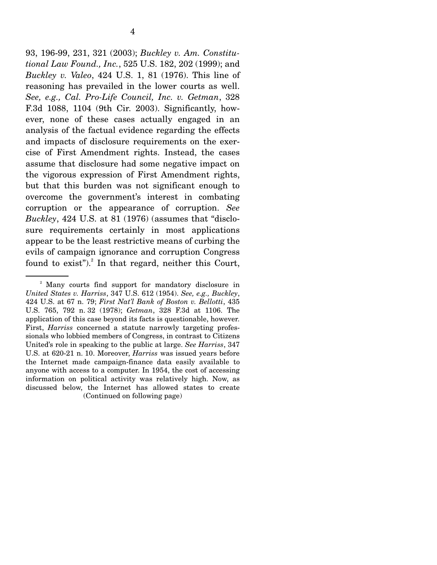93, 196-99, 231, 321 (2003); *Buckley v. Am. Constitutional Law Found., Inc.*, 525 U.S. 182, 202 (1999); and *Buckley v. Valeo*, 424 U.S. 1, 81 (1976). This line of reasoning has prevailed in the lower courts as well. *See, e.g., Cal. Pro-Life Council, Inc. v. Getman*, 328 F.3d 1088, 1104 (9th Cir. 2003). Significantly, however, none of these cases actually engaged in an analysis of the factual evidence regarding the effects and impacts of disclosure requirements on the exercise of First Amendment rights. Instead, the cases assume that disclosure had some negative impact on the vigorous expression of First Amendment rights, but that this burden was not significant enough to overcome the government's interest in combating corruption or the appearance of corruption. *See Buckley*, 424 U.S. at 81 (1976) (assumes that "disclosure requirements certainly in most applications appear to be the least restrictive means of curbing the evils of campaign ignorance and corruption Congress found to  $exist$ "). $^{2}$  In that regard, neither this Court,

<sup>&</sup>lt;sup>2</sup> Many courts find support for mandatory disclosure in *United States v. Harriss*, 347 U.S. 612 (1954). *See, e.g., Buckley*, 424 U.S. at 67 n. 79; *First Nat'l Bank of Boston v. Bellotti*, 435 U.S. 765, 792 n. 32 (1978); *Getman*, 328 F.3d at 1106. The application of this case beyond its facts is questionable, however. First, *Harriss* concerned a statute narrowly targeting professionals who lobbied members of Congress, in contrast to Citizens United's role in speaking to the public at large. *See Harriss*, 347 U.S. at 620-21 n. 10. Moreover, *Harriss* was issued years before the Internet made campaign-finance data easily available to anyone with access to a computer. In 1954, the cost of accessing information on political activity was relatively high. Now, as discussed below, the Internet has allowed states to create (Continued on following page)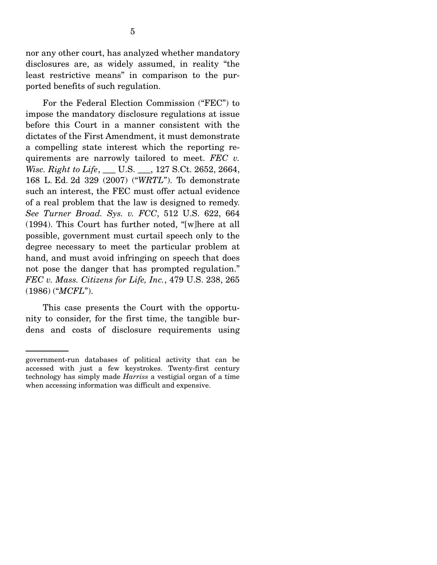nor any other court, has analyzed whether mandatory disclosures are, as widely assumed, in reality "the least restrictive means" in comparison to the purported benefits of such regulation.

 For the Federal Election Commission ("FEC") to impose the mandatory disclosure regulations at issue before this Court in a manner consistent with the dictates of the First Amendment, it must demonstrate a compelling state interest which the reporting requirements are narrowly tailored to meet. *FEC v. Wisc. Right to Life*, \_\_\_ U.S. \_\_\_, 127 S.Ct. 2652, 2664, 168 L. Ed. 2d 329 (2007) ("*WRTL*"). To demonstrate such an interest, the FEC must offer actual evidence of a real problem that the law is designed to remedy. *See Turner Broad. Sys. v. FCC*, 512 U.S. 622, 664 (1994). This Court has further noted, "[w]here at all possible, government must curtail speech only to the degree necessary to meet the particular problem at hand, and must avoid infringing on speech that does not pose the danger that has prompted regulation." *FEC v. Mass. Citizens for Life, Inc.*, 479 U.S. 238, 265 (1986) ("*MCFL*").

 This case presents the Court with the opportunity to consider, for the first time, the tangible burdens and costs of disclosure requirements using

government-run databases of political activity that can be accessed with just a few keystrokes. Twenty-first century technology has simply made *Harriss* a vestigial organ of a time when accessing information was difficult and expensive.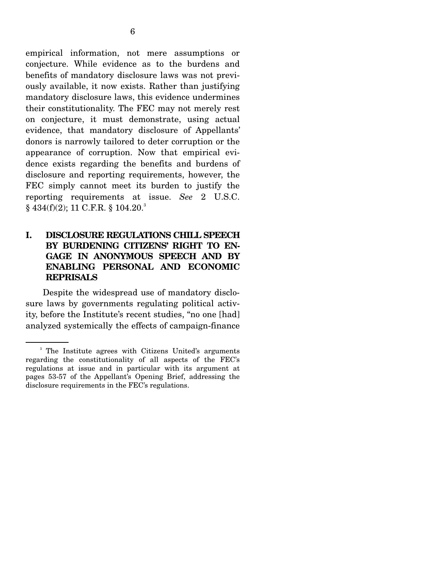empirical information, not mere assumptions or conjecture. While evidence as to the burdens and benefits of mandatory disclosure laws was not previously available, it now exists. Rather than justifying mandatory disclosure laws, this evidence undermines their constitutionality. The FEC may not merely rest on conjecture, it must demonstrate, using actual evidence, that mandatory disclosure of Appellants' donors is narrowly tailored to deter corruption or the appearance of corruption. Now that empirical evidence exists regarding the benefits and burdens of disclosure and reporting requirements, however, the FEC simply cannot meet its burden to justify the reporting requirements at issue. *See* 2 U.S.C.  $\S$  434(f)(2); 11 C.F.R.  $\S$  104.20.<sup>3</sup>

## **I. DISCLOSURE REGULATIONS CHILL SPEECH BY BURDENING CITIZENS' RIGHT TO EN-GAGE IN ANONYMOUS SPEECH AND BY ENABLING PERSONAL AND ECONOMIC REPRISALS**

 Despite the widespread use of mandatory disclosure laws by governments regulating political activity, before the Institute's recent studies, "no one [had] analyzed systemically the effects of campaign-finance

<sup>&</sup>lt;sup>3</sup> The Institute agrees with Citizens United's arguments regarding the constitutionality of all aspects of the FEC's regulations at issue and in particular with its argument at pages 53-57 of the Appellant's Opening Brief, addressing the disclosure requirements in the FEC's regulations.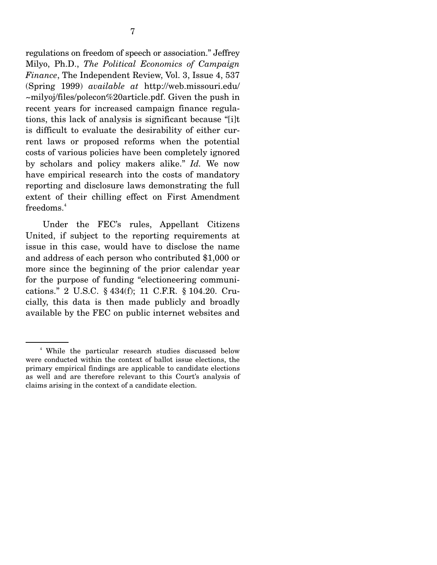regulations on freedom of speech or association." Jeffrey Milyo, Ph.D., *The Political Economics of Campaign Finance*, The Independent Review, Vol. 3, Issue 4, 537 (Spring 1999) *available at* http://web.missouri.edu/ ~milyoj/files/polecon%20article.pdf. Given the push in recent years for increased campaign finance regulations, this lack of analysis is significant because "[i]t is difficult to evaluate the desirability of either current laws or proposed reforms when the potential costs of various policies have been completely ignored by scholars and policy makers alike." *Id.* We now have empirical research into the costs of mandatory reporting and disclosure laws demonstrating the full extent of their chilling effect on First Amendment  $freedoms.<sup>4</sup>$ 

 Under the FEC's rules, Appellant Citizens United, if subject to the reporting requirements at issue in this case, would have to disclose the name and address of each person who contributed \$1,000 or more since the beginning of the prior calendar year for the purpose of funding "electioneering communications." 2 U.S.C. § 434(f); 11 C.F.R. § 104.20. Crucially, this data is then made publicly and broadly available by the FEC on public internet websites and

<sup>4</sup> While the particular research studies discussed below were conducted within the context of ballot issue elections, the primary empirical findings are applicable to candidate elections as well and are therefore relevant to this Court's analysis of claims arising in the context of a candidate election.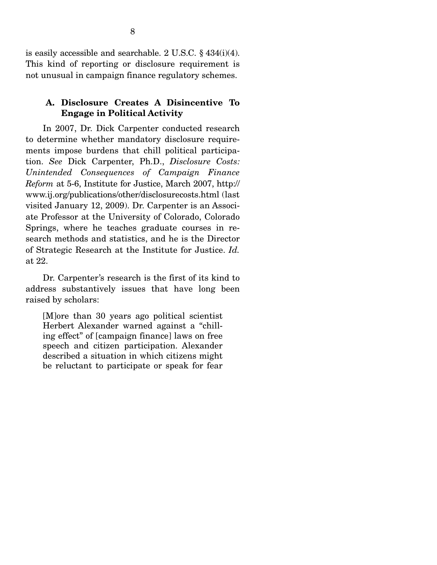is easily accessible and searchable. 2 U.S.C. § 434(i)(4). This kind of reporting or disclosure requirement is not unusual in campaign finance regulatory schemes.

### **A. Disclosure Creates A Disincentive To Engage in Political Activity**

 In 2007, Dr. Dick Carpenter conducted research to determine whether mandatory disclosure requirements impose burdens that chill political participation. *See* Dick Carpenter, Ph.D., *Disclosure Costs: Unintended Consequences of Campaign Finance Reform* at 5-6, Institute for Justice, March 2007, http:// www.ij.org/publications/other/disclosurecosts.html (last visited January 12, 2009). Dr. Carpenter is an Associate Professor at the University of Colorado, Colorado Springs, where he teaches graduate courses in research methods and statistics, and he is the Director of Strategic Research at the Institute for Justice. *Id.* at 22.

 Dr. Carpenter's research is the first of its kind to address substantively issues that have long been raised by scholars:

[M]ore than 30 years ago political scientist Herbert Alexander warned against a "chilling effect" of [campaign finance] laws on free speech and citizen participation. Alexander described a situation in which citizens might be reluctant to participate or speak for fear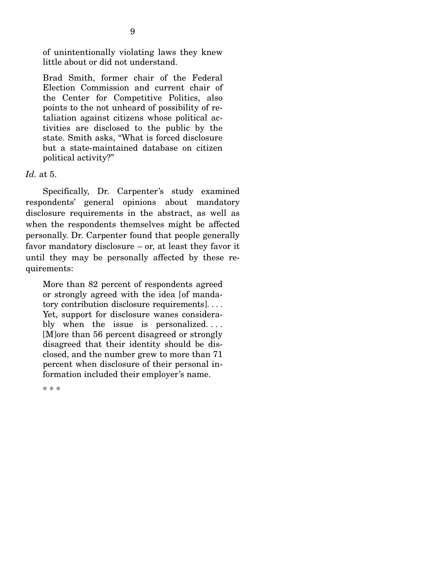of unintentionally violating laws they knew little about or did not understand.

Brad Smith, former chair of the Federal Election Commission and current chair of the Center for Competitive Politics, also points to the not unheard of possibility of retaliation against citizens whose political activities are disclosed to the public by the state. Smith asks, "What is forced disclosure but a state-maintained database on citizen political activity?"

#### *Id.* at 5.

 Specifically, Dr. Carpenter's study examined respondents' general opinions about mandatory disclosure requirements in the abstract, as well as when the respondents themselves might be affected personally. Dr. Carpenter found that people generally favor mandatory disclosure – or, at least they favor it until they may be personally affected by these requirements:

More than 82 percent of respondents agreed or strongly agreed with the idea [of mandatory contribution disclosure requirements]. . . . Yet, support for disclosure wanes considerably when the issue is personalized.... [M]ore than 56 percent disagreed or strongly disagreed that their identity should be disclosed, and the number grew to more than 71 percent when disclosure of their personal information included their employer's name.

\* \* \*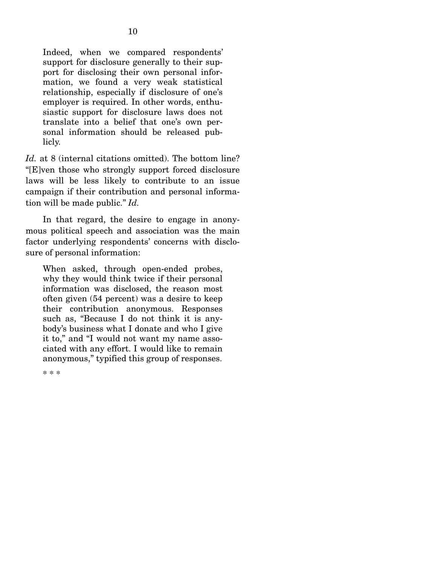Indeed, when we compared respondents' support for disclosure generally to their support for disclosing their own personal information, we found a very weak statistical relationship, especially if disclosure of one's employer is required. In other words, enthusiastic support for disclosure laws does not translate into a belief that one's own personal information should be released publicly.

Id. at 8 (internal citations omitted). The bottom line? "[E]ven those who strongly support forced disclosure laws will be less likely to contribute to an issue campaign if their contribution and personal information will be made public." *Id.* 

In that regard, the desire to engage in anonymous political speech and association was the main factor underlying respondents' concerns with disclosure of personal information:

When asked, through open-ended probes, why they would think twice if their personal information was disclosed, the reason most often given (54 percent) was a desire to keep their contribution anonymous. Responses such as, "Because I do not think it is anybody's business what I donate and who I give it to," and "I would not want my name associated with any effort. I would like to remain anonymous," typified this group of responses.

\* \* \*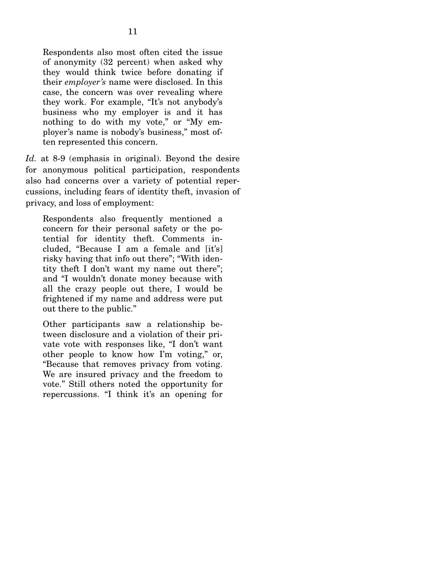Respondents also most often cited the issue of anonymity (32 percent) when asked why they would think twice before donating if their *employer's* name were disclosed. In this case, the concern was over revealing where they work. For example, "It's not anybody's business who my employer is and it has nothing to do with my vote," or "My employer's name is nobody's business," most often represented this concern.

*Id.* at 8-9 (emphasis in original). Beyond the desire for anonymous political participation, respondents also had concerns over a variety of potential repercussions, including fears of identity theft, invasion of privacy, and loss of employment:

Respondents also frequently mentioned a concern for their personal safety or the potential for identity theft. Comments included, "Because I am a female and [it's] risky having that info out there"; "With identity theft I don't want my name out there"; and "I wouldn't donate money because with all the crazy people out there, I would be frightened if my name and address were put out there to the public."

Other participants saw a relationship between disclosure and a violation of their private vote with responses like, "I don't want other people to know how I'm voting," or, "Because that removes privacy from voting. We are insured privacy and the freedom to vote." Still others noted the opportunity for repercussions. "I think it's an opening for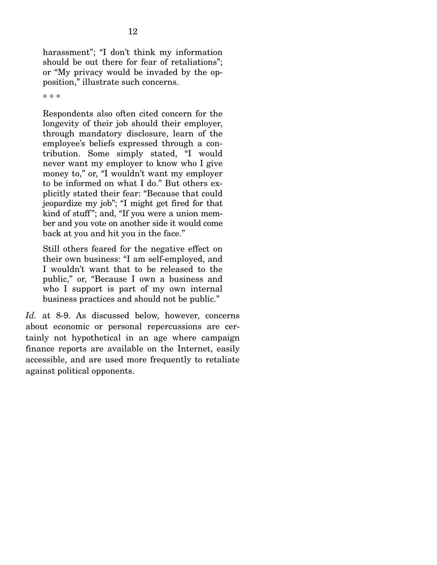harassment"; "I don't think my information should be out there for fear of retaliations"; or "My privacy would be invaded by the opposition," illustrate such concerns.

\* \* \*

Respondents also often cited concern for the longevity of their job should their employer, through mandatory disclosure, learn of the employee's beliefs expressed through a contribution. Some simply stated, "I would never want my employer to know who I give money to," or, "I wouldn't want my employer to be informed on what I do." But others explicitly stated their fear: "Because that could jeopardize my job"; "I might get fired for that kind of stuff"; and, "If you were a union member and you vote on another side it would come back at you and hit you in the face."

Still others feared for the negative effect on their own business: "I am self-employed, and I wouldn't want that to be released to the public," or, "Because I own a business and who I support is part of my own internal business practices and should not be public."

*Id.* at 8-9. As discussed below, however, concerns about economic or personal repercussions are certainly not hypothetical in an age where campaign finance reports are available on the Internet, easily accessible, and are used more frequently to retaliate against political opponents.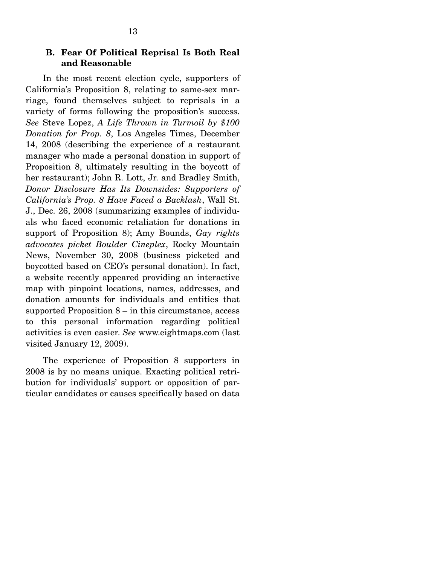#### **B. Fear Of Political Reprisal Is Both Real and Reasonable**

 In the most recent election cycle, supporters of California's Proposition 8, relating to same-sex marriage, found themselves subject to reprisals in a variety of forms following the proposition's success. *See* Steve Lopez, *A Life Thrown in Turmoil by \$100 Donation for Prop. 8*, Los Angeles Times, December 14, 2008 (describing the experience of a restaurant manager who made a personal donation in support of Proposition 8, ultimately resulting in the boycott of her restaurant); John R. Lott, Jr. and Bradley Smith, *Donor Disclosure Has Its Downsides: Supporters of California's Prop. 8 Have Faced a Backlash*, Wall St. J., Dec. 26, 2008 (summarizing examples of individuals who faced economic retaliation for donations in support of Proposition 8); Amy Bounds, *Gay rights advocates picket Boulder Cineplex*, Rocky Mountain News, November 30, 2008 (business picketed and boycotted based on CEO's personal donation). In fact, a website recently appeared providing an interactive map with pinpoint locations, names, addresses, and donation amounts for individuals and entities that supported Proposition 8 – in this circumstance, access to this personal information regarding political activities is even easier. *See* www.eightmaps.com (last visited January 12, 2009).

 The experience of Proposition 8 supporters in 2008 is by no means unique. Exacting political retribution for individuals' support or opposition of particular candidates or causes specifically based on data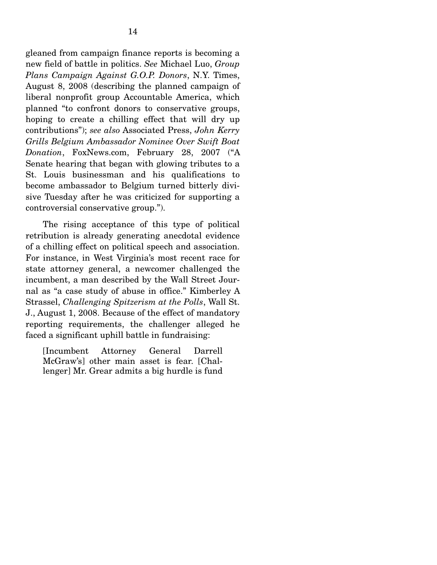gleaned from campaign finance reports is becoming a new field of battle in politics. *See* Michael Luo, *Group Plans Campaign Against G.O.P. Donors*, N.Y. Times, August 8, 2008 (describing the planned campaign of liberal nonprofit group Accountable America, which planned "to confront donors to conservative groups, hoping to create a chilling effect that will dry up contributions"); *see also* Associated Press, *John Kerry Grills Belgium Ambassador Nominee Over Swift Boat Donation*, FoxNews.com, February 28, 2007 ("A Senate hearing that began with glowing tributes to a St. Louis businessman and his qualifications to become ambassador to Belgium turned bitterly divisive Tuesday after he was criticized for supporting a controversial conservative group.").

 The rising acceptance of this type of political retribution is already generating anecdotal evidence of a chilling effect on political speech and association. For instance, in West Virginia's most recent race for state attorney general, a newcomer challenged the incumbent, a man described by the Wall Street Journal as "a case study of abuse in office." Kimberley A Strassel, *Challenging Spitzerism at the Polls*, Wall St. J., August 1, 2008. Because of the effect of mandatory reporting requirements, the challenger alleged he faced a significant uphill battle in fundraising:

[Incumbent Attorney General Darrell McGraw's] other main asset is fear. [Challenger] Mr. Grear admits a big hurdle is fund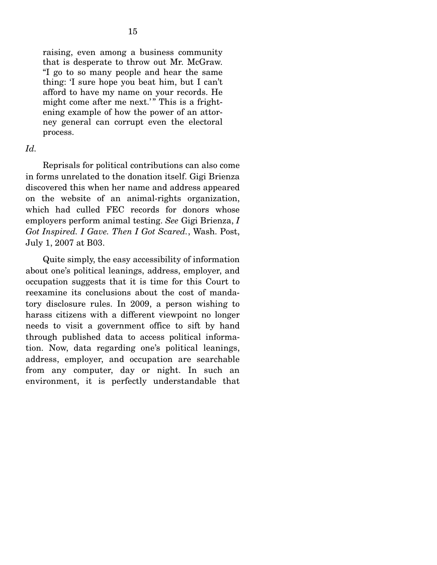raising, even among a business community that is desperate to throw out Mr. McGraw. "I go to so many people and hear the same thing: 'I sure hope you beat him, but I can't afford to have my name on your records. He might come after me next.'" This is a frightening example of how the power of an attorney general can corrupt even the electoral process.

#### *Id.*

 Reprisals for political contributions can also come in forms unrelated to the donation itself. Gigi Brienza discovered this when her name and address appeared on the website of an animal-rights organization, which had culled FEC records for donors whose employers perform animal testing. *See* Gigi Brienza, *I Got Inspired. I Gave. Then I Got Scared.*, Wash. Post, July 1, 2007 at B03.

 Quite simply, the easy accessibility of information about one's political leanings, address, employer, and occupation suggests that it is time for this Court to reexamine its conclusions about the cost of mandatory disclosure rules. In 2009, a person wishing to harass citizens with a different viewpoint no longer needs to visit a government office to sift by hand through published data to access political information. Now, data regarding one's political leanings, address, employer, and occupation are searchable from any computer, day or night. In such an environment, it is perfectly understandable that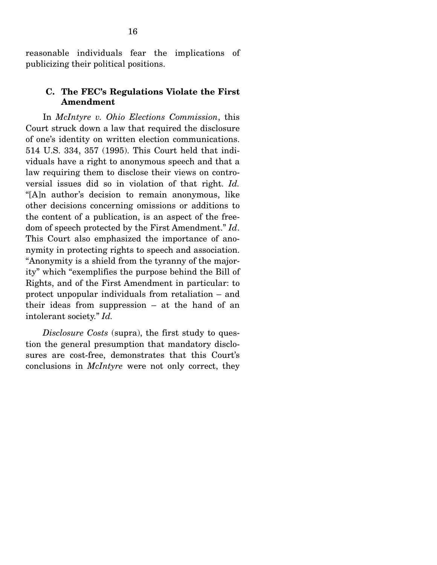reasonable individuals fear the implications of publicizing their political positions.

#### **C. The FEC's Regulations Violate the First Amendment**

 In *McIntyre v. Ohio Elections Commission*, this Court struck down a law that required the disclosure of one's identity on written election communications. 514 U.S. 334, 357 (1995). This Court held that individuals have a right to anonymous speech and that a law requiring them to disclose their views on controversial issues did so in violation of that right. *Id.* "[A]n author's decision to remain anonymous, like other decisions concerning omissions or additions to the content of a publication, is an aspect of the freedom of speech protected by the First Amendment." *Id*. This Court also emphasized the importance of anonymity in protecting rights to speech and association. "Anonymity is a shield from the tyranny of the majority" which "exemplifies the purpose behind the Bill of Rights, and of the First Amendment in particular: to protect unpopular individuals from retaliation – and their ideas from suppression – at the hand of an intolerant society." *Id.*

 *Disclosure Costs* (supra), the first study to question the general presumption that mandatory disclosures are cost-free, demonstrates that this Court's conclusions in *McIntyre* were not only correct, they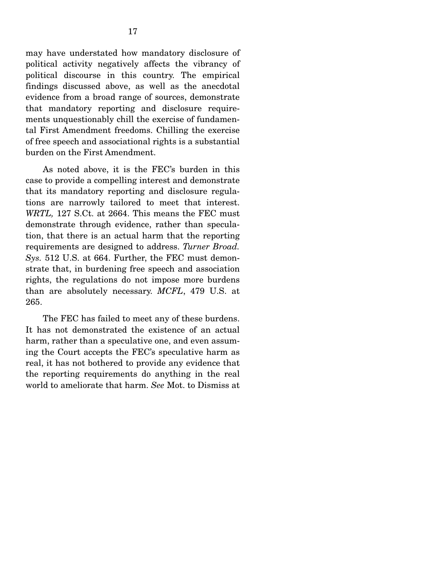may have understated how mandatory disclosure of political activity negatively affects the vibrancy of political discourse in this country. The empirical findings discussed above, as well as the anecdotal evidence from a broad range of sources, demonstrate that mandatory reporting and disclosure requirements unquestionably chill the exercise of fundamental First Amendment freedoms. Chilling the exercise of free speech and associational rights is a substantial burden on the First Amendment.

 As noted above, it is the FEC's burden in this case to provide a compelling interest and demonstrate that its mandatory reporting and disclosure regulations are narrowly tailored to meet that interest. *WRTL,* 127 S.Ct. at 2664. This means the FEC must demonstrate through evidence, rather than speculation, that there is an actual harm that the reporting requirements are designed to address. *Turner Broad. Sys.* 512 U.S. at 664. Further, the FEC must demonstrate that, in burdening free speech and association rights, the regulations do not impose more burdens than are absolutely necessary. *MCFL*, 479 U.S. at 265.

 The FEC has failed to meet any of these burdens. It has not demonstrated the existence of an actual harm, rather than a speculative one, and even assuming the Court accepts the FEC's speculative harm as real, it has not bothered to provide any evidence that the reporting requirements do anything in the real world to ameliorate that harm. *See* Mot. to Dismiss at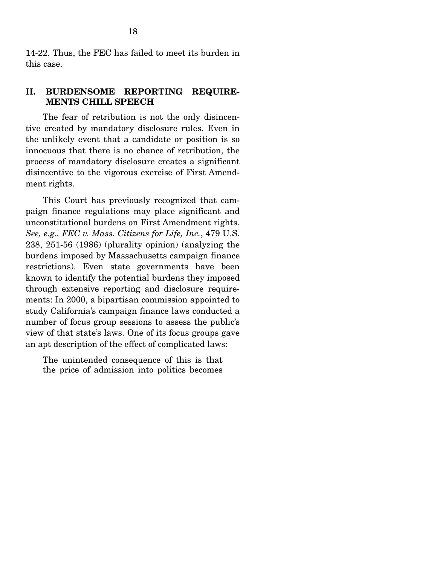14-22. Thus, the FEC has failed to meet its burden in this case.

#### **II. BURDENSOME REPORTING REQUIRE-MENTS CHILL SPEECH**

 The fear of retribution is not the only disincentive created by mandatory disclosure rules. Even in the unlikely event that a candidate or position is so innocuous that there is no chance of retribution, the process of mandatory disclosure creates a significant disincentive to the vigorous exercise of First Amendment rights.

 This Court has previously recognized that campaign finance regulations may place significant and unconstitutional burdens on First Amendment rights. *See, e.g., FEC v. Mass. Citizens for Life, Inc.*, 479 U.S. 238, 251-56 (1986) (plurality opinion) (analyzing the burdens imposed by Massachusetts campaign finance restrictions). Even state governments have been known to identify the potential burdens they imposed through extensive reporting and disclosure requirements: In 2000, a bipartisan commission appointed to study California's campaign finance laws conducted a number of focus group sessions to assess the public's view of that state's laws. One of its focus groups gave an apt description of the effect of complicated laws:

The unintended consequence of this is that the price of admission into politics becomes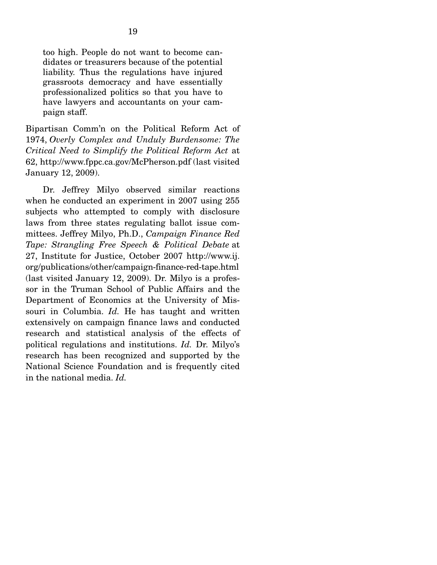too high. People do not want to become candidates or treasurers because of the potential liability. Thus the regulations have injured grassroots democracy and have essentially professionalized politics so that you have to have lawyers and accountants on your campaign staff.

Bipartisan Comm'n on the Political Reform Act of 1974, *Overly Complex and Unduly Burdensome: The Critical Need to Simplify the Political Reform Act* at 62, http://www.fppc.ca.gov/McPherson.pdf (last visited January 12, 2009).

 Dr. Jeffrey Milyo observed similar reactions when he conducted an experiment in 2007 using 255 subjects who attempted to comply with disclosure laws from three states regulating ballot issue committees. Jeffrey Milyo, Ph.D., *Campaign Finance Red Tape: Strangling Free Speech & Political Debate* at 27, Institute for Justice, October 2007 http://www.ij. org/publications/other/campaign-finance-red-tape.html (last visited January 12, 2009). Dr. Milyo is a professor in the Truman School of Public Affairs and the Department of Economics at the University of Missouri in Columbia. *Id.* He has taught and written extensively on campaign finance laws and conducted research and statistical analysis of the effects of political regulations and institutions. *Id.* Dr. Milyo's research has been recognized and supported by the National Science Foundation and is frequently cited in the national media. *Id.*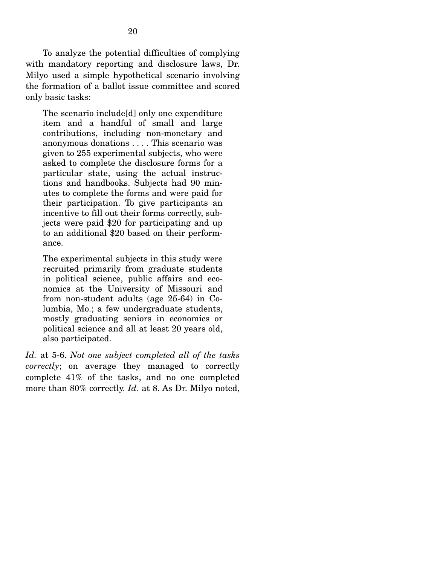To analyze the potential difficulties of complying with mandatory reporting and disclosure laws, Dr. Milyo used a simple hypothetical scenario involving the formation of a ballot issue committee and scored only basic tasks:

The scenario include[d] only one expenditure item and a handful of small and large contributions, including non-monetary and anonymous donations . . . . This scenario was given to 255 experimental subjects, who were asked to complete the disclosure forms for a particular state, using the actual instructions and handbooks. Subjects had 90 minutes to complete the forms and were paid for their participation. To give participants an incentive to fill out their forms correctly, subjects were paid \$20 for participating and up to an additional \$20 based on their performance.

The experimental subjects in this study were recruited primarily from graduate students in political science, public affairs and economics at the University of Missouri and from non-student adults (age 25-64) in Columbia, Mo.; a few undergraduate students, mostly graduating seniors in economics or political science and all at least 20 years old, also participated.

*Id.* at 5-6. *Not one subject completed all of the tasks correctly*; on average they managed to correctly complete 41% of the tasks, and no one completed more than 80% correctly. *Id.* at 8. As Dr. Milyo noted,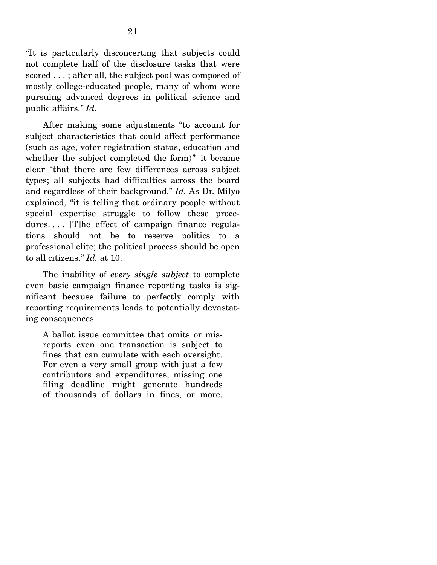"It is particularly disconcerting that subjects could not complete half of the disclosure tasks that were scored . . . ; after all, the subject pool was composed of mostly college-educated people, many of whom were pursuing advanced degrees in political science and public affairs." *Id.*

 After making some adjustments "to account for subject characteristics that could affect performance (such as age, voter registration status, education and whether the subject completed the form)" it became clear "that there are few differences across subject types; all subjects had difficulties across the board and regardless of their background." *Id.* As Dr. Milyo explained, "it is telling that ordinary people without special expertise struggle to follow these procedures.... [T]he effect of campaign finance regulations should not be to reserve politics to a professional elite; the political process should be open to all citizens." *Id.* at 10.

 The inability of *every single subject* to complete even basic campaign finance reporting tasks is significant because failure to perfectly comply with reporting requirements leads to potentially devastating consequences.

A ballot issue committee that omits or misreports even one transaction is subject to fines that can cumulate with each oversight. For even a very small group with just a few contributors and expenditures, missing one filing deadline might generate hundreds of thousands of dollars in fines, or more.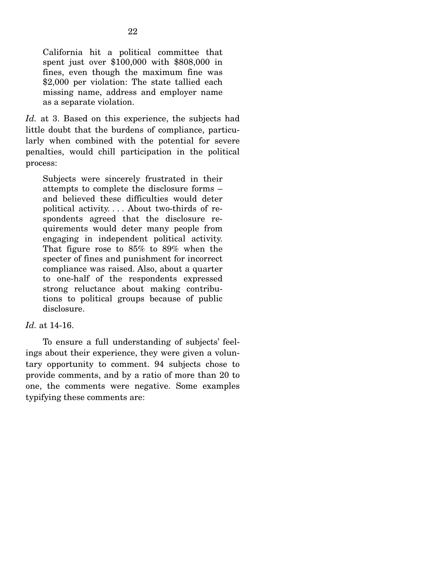California hit a political committee that spent just over \$100,000 with \$808,000 in fines, even though the maximum fine was \$2,000 per violation: The state tallied each missing name, address and employer name as a separate violation.

*Id.* at 3. Based on this experience, the subjects had little doubt that the burdens of compliance, particularly when combined with the potential for severe penalties, would chill participation in the political process:

Subjects were sincerely frustrated in their attempts to complete the disclosure forms – and believed these difficulties would deter political activity. . . . About two-thirds of respondents agreed that the disclosure requirements would deter many people from engaging in independent political activity. That figure rose to 85% to 89% when the specter of fines and punishment for incorrect compliance was raised. Also, about a quarter to one-half of the respondents expressed strong reluctance about making contributions to political groups because of public disclosure.

### *Id.* at 14-16.

 To ensure a full understanding of subjects' feelings about their experience, they were given a voluntary opportunity to comment. 94 subjects chose to provide comments, and by a ratio of more than 20 to one, the comments were negative. Some examples typifying these comments are: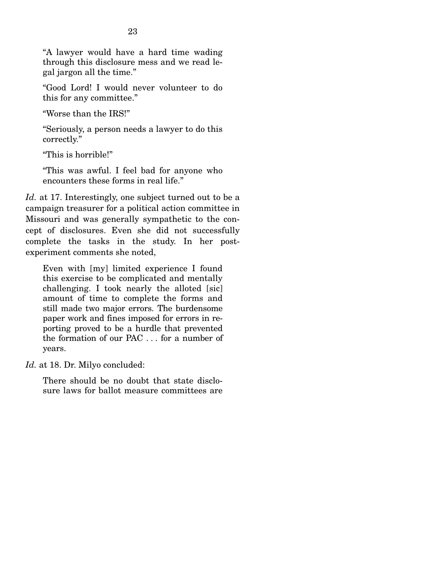"A lawyer would have a hard time wading through this disclosure mess and we read legal jargon all the time."

"Good Lord! I would never volunteer to do this for any committee."

"Worse than the IRS!"

"Seriously, a person needs a lawyer to do this correctly."

"This is horrible!"

"This was awful. I feel bad for anyone who encounters these forms in real life."

*Id.* at 17. Interestingly, one subject turned out to be a campaign treasurer for a political action committee in Missouri and was generally sympathetic to the concept of disclosures. Even she did not successfully complete the tasks in the study. In her postexperiment comments she noted,

Even with [my] limited experience I found this exercise to be complicated and mentally challenging. I took nearly the alloted [sic] amount of time to complete the forms and still made two major errors. The burdensome paper work and fines imposed for errors in reporting proved to be a hurdle that prevented the formation of our PAC . . . for a number of years.

*Id.* at 18. Dr. Milyo concluded:

There should be no doubt that state disclosure laws for ballot measure committees are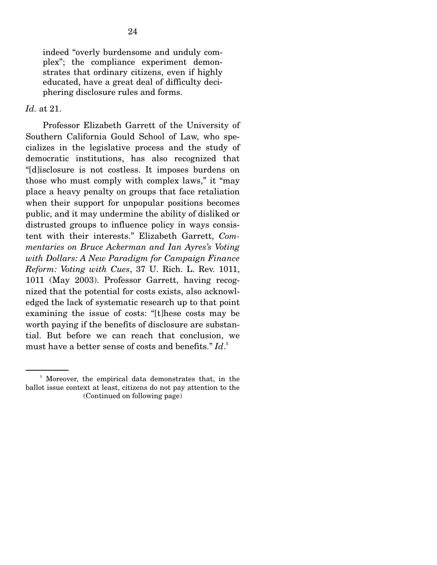indeed "overly burdensome and unduly complex"; the compliance experiment demonstrates that ordinary citizens, even if highly educated, have a great deal of difficulty deciphering disclosure rules and forms.

#### *Id.* at 21.

 Professor Elizabeth Garrett of the University of Southern California Gould School of Law, who specializes in the legislative process and the study of democratic institutions, has also recognized that "[d]isclosure is not costless. It imposes burdens on those who must comply with complex laws," it "may place a heavy penalty on groups that face retaliation when their support for unpopular positions becomes public, and it may undermine the ability of disliked or distrusted groups to influence policy in ways consistent with their interests." Elizabeth Garrett, *Commentaries on Bruce Ackerman and Ian Ayres's Voting with Dollars: A New Paradigm for Campaign Finance Reform: Voting with Cues*, 37 U. Rich. L. Rev. 1011, 1011 (May 2003). Professor Garrett, having recognized that the potential for costs exists, also acknowledged the lack of systematic research up to that point examining the issue of costs: "[t]hese costs may be worth paying if the benefits of disclosure are substantial. But before we can reach that conclusion, we must have a better sense of costs and benefits." *Id*. 5

<sup>&</sup>lt;sup>5</sup> Moreover, the empirical data demonstrates that, in the ballot issue context at least, citizens do not pay attention to the (Continued on following page)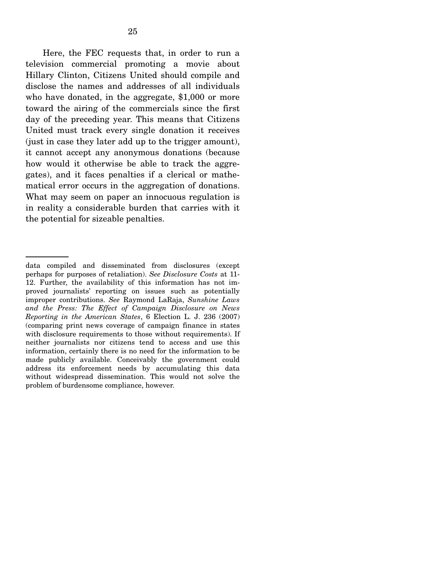Here, the FEC requests that, in order to run a television commercial promoting a movie about Hillary Clinton, Citizens United should compile and disclose the names and addresses of all individuals who have donated, in the aggregate, \$1,000 or more toward the airing of the commercials since the first day of the preceding year. This means that Citizens United must track every single donation it receives (just in case they later add up to the trigger amount), it cannot accept any anonymous donations (because how would it otherwise be able to track the aggregates), and it faces penalties if a clerical or mathematical error occurs in the aggregation of donations. What may seem on paper an innocuous regulation is in reality a considerable burden that carries with it the potential for sizeable penalties.

data compiled and disseminated from disclosures (except perhaps for purposes of retaliation). *See Disclosure Costs* at 11- 12. Further, the availability of this information has not improved journalists' reporting on issues such as potentially improper contributions. *See* Raymond LaRaja, *Sunshine Laws and the Press: The Effect of Campaign Disclosure on News Reporting in the American States*, 6 Election L. J. 236 (2007) (comparing print news coverage of campaign finance in states with disclosure requirements to those without requirements). If neither journalists nor citizens tend to access and use this information, certainly there is no need for the information to be made publicly available. Conceivably the government could address its enforcement needs by accumulating this data without widespread dissemination. This would not solve the problem of burdensome compliance, however.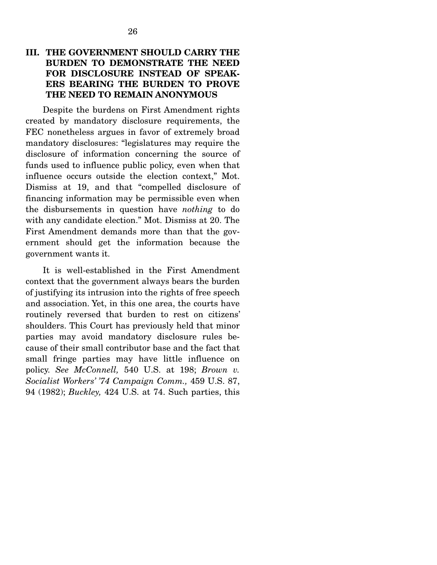## **III. THE GOVERNMENT SHOULD CARRY THE BURDEN TO DEMONSTRATE THE NEED FOR DISCLOSURE INSTEAD OF SPEAK-ERS BEARING THE BURDEN TO PROVE THE NEED TO REMAIN ANONYMOUS**

 Despite the burdens on First Amendment rights created by mandatory disclosure requirements, the FEC nonetheless argues in favor of extremely broad mandatory disclosures: "legislatures may require the disclosure of information concerning the source of funds used to influence public policy, even when that influence occurs outside the election context," Mot. Dismiss at 19, and that "compelled disclosure of financing information may be permissible even when the disbursements in question have *nothing* to do with any candidate election." Mot. Dismiss at 20. The First Amendment demands more than that the government should get the information because the government wants it.

 It is well-established in the First Amendment context that the government always bears the burden of justifying its intrusion into the rights of free speech and association. Yet, in this one area, the courts have routinely reversed that burden to rest on citizens' shoulders. This Court has previously held that minor parties may avoid mandatory disclosure rules because of their small contributor base and the fact that small fringe parties may have little influence on policy. *See McConnell,* 540 U.S. at 198; *Brown v. Socialist Workers' '74 Campaign Comm.,* 459 U.S. 87, 94 (1982); *Buckley,* 424 U.S. at 74. Such parties, this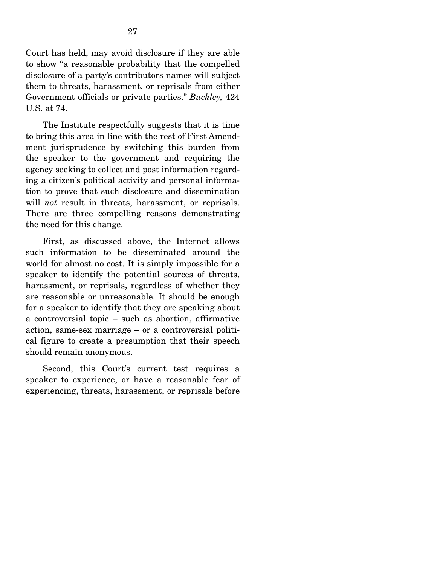Court has held, may avoid disclosure if they are able to show "a reasonable probability that the compelled disclosure of a party's contributors names will subject them to threats, harassment, or reprisals from either Government officials or private parties." *Buckley,* 424 U.S. at 74.

 The Institute respectfully suggests that it is time to bring this area in line with the rest of First Amendment jurisprudence by switching this burden from the speaker to the government and requiring the agency seeking to collect and post information regarding a citizen's political activity and personal information to prove that such disclosure and dissemination will *not* result in threats, harassment, or reprisals. There are three compelling reasons demonstrating the need for this change.

 First, as discussed above, the Internet allows such information to be disseminated around the world for almost no cost. It is simply impossible for a speaker to identify the potential sources of threats, harassment, or reprisals, regardless of whether they are reasonable or unreasonable. It should be enough for a speaker to identify that they are speaking about a controversial topic – such as abortion, affirmative action, same-sex marriage – or a controversial political figure to create a presumption that their speech should remain anonymous.

 Second, this Court's current test requires a speaker to experience, or have a reasonable fear of experiencing, threats, harassment, or reprisals before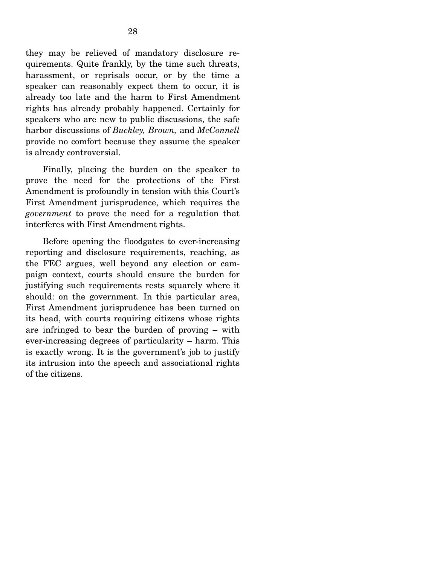they may be relieved of mandatory disclosure requirements. Quite frankly, by the time such threats, harassment, or reprisals occur, or by the time a speaker can reasonably expect them to occur, it is already too late and the harm to First Amendment rights has already probably happened. Certainly for speakers who are new to public discussions, the safe harbor discussions of *Buckley, Brown,* and *McConnell* provide no comfort because they assume the speaker is already controversial.

 Finally, placing the burden on the speaker to prove the need for the protections of the First Amendment is profoundly in tension with this Court's First Amendment jurisprudence, which requires the *government* to prove the need for a regulation that interferes with First Amendment rights.

 Before opening the floodgates to ever-increasing reporting and disclosure requirements, reaching, as the FEC argues, well beyond any election or campaign context, courts should ensure the burden for justifying such requirements rests squarely where it should: on the government. In this particular area, First Amendment jurisprudence has been turned on its head, with courts requiring citizens whose rights are infringed to bear the burden of proving – with ever-increasing degrees of particularity – harm. This is exactly wrong. It is the government's job to justify its intrusion into the speech and associational rights of the citizens.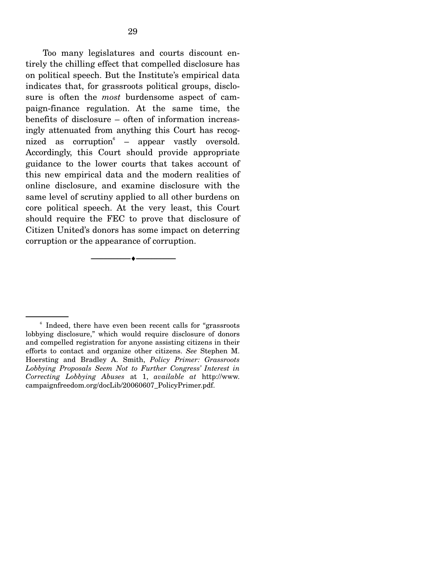Too many legislatures and courts discount entirely the chilling effect that compelled disclosure has on political speech. But the Institute's empirical data indicates that, for grassroots political groups, disclosure is often the *most* burdensome aspect of campaign-finance regulation. At the same time, the benefits of disclosure – often of information increasingly attenuated from anything this Court has recognized as corruption  $-$  appear vastly oversold. Accordingly, this Court should provide appropriate guidance to the lower courts that takes account of this new empirical data and the modern realities of online disclosure, and examine disclosure with the same level of scrutiny applied to all other burdens on core political speech. At the very least, this Court should require the FEC to prove that disclosure of Citizen United's donors has some impact on deterring corruption or the appearance of corruption.

--------------------------------- ♦ ---------------------------------

<sup>&</sup>lt;sup>6</sup> Indeed, there have even been recent calls for "grassroots" lobbying disclosure," which would require disclosure of donors and compelled registration for anyone assisting citizens in their efforts to contact and organize other citizens. *See* Stephen M. Hoersting and Bradley A. Smith, *Policy Primer: Grassroots Lobbying Proposals Seem Not to Further Congress' Interest in Correcting Lobbying Abuses* at 1, *available at* http://www. campaignfreedom.org/docLib/20060607\_PolicyPrimer.pdf.